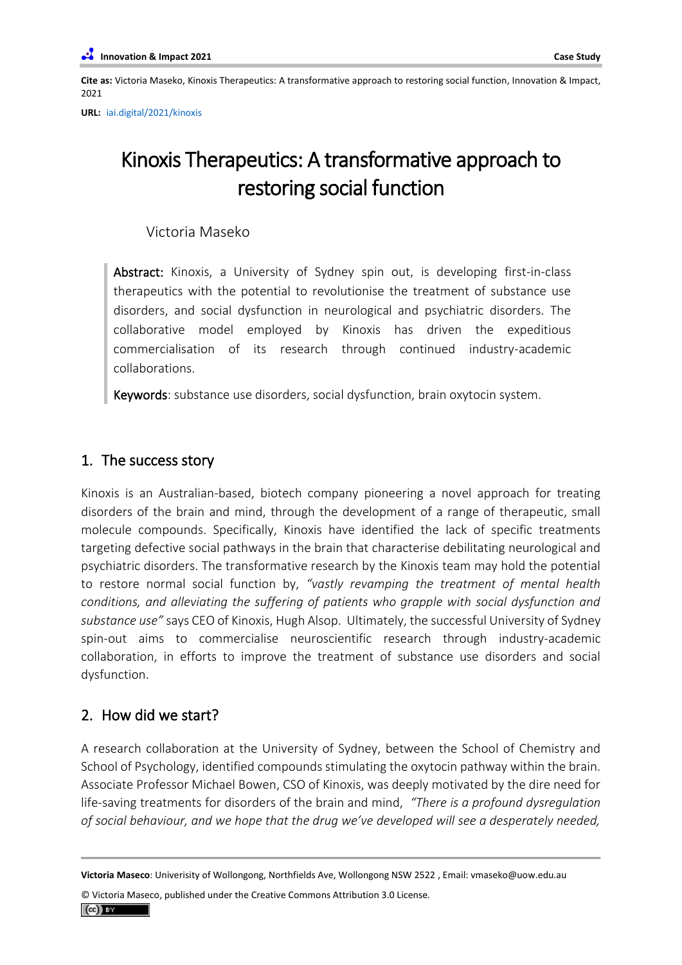**Cite as:** Victoria Maseko, Kinoxis Therapeutics: A transformative approach to restoring social function, Innovation & Impact, 2021

**URL[:](https://www.pubpub.org/pub/eagle-genomics/)** [iai.digital/2021/kinoxis](https://iai.digital/2021/kinoxis)

# Kinoxis Therapeutics: A transformative approach to restoring social function

Victoria Maseko

Abstract: Kinoxis, a University of Sydney spin out, is developing first-in-class therapeutics with the potential to revolutionise the treatment of substance use disorders, and social dysfunction in neurological and psychiatric disorders. The collaborative model employed by Kinoxis has driven the expeditious commercialisation of its research through continued industry-academic collaborations.

Keywords: substance use disorders, social dysfunction, brain oxytocin system.

## 1. The success story

Kinoxis is an Australian-based, biotech company pioneering a novel approach for treating disorders of the brain and mind, through the development of a range of therapeutic, small molecule compounds. Specifically, Kinoxis have identified the lack of specific treatments targeting defective social pathways in the brain that characterise debilitating neurological and psychiatric disorders. The transformative research by the Kinoxis team may hold the potential to restore normal social function by, *"vastly revamping the treatment of mental health conditions, and alleviating the suffering of patients who grapple with social dysfunction and substance use"* says CEO of Kinoxis, Hugh Alsop. Ultimately, the successful University of Sydney spin-out aims to commercialise neuroscientific research through industry-academic collaboration, in efforts to improve the treatment of substance use disorders and social dysfunction.

## 2. How did we start?

A research collaboration at the University of Sydney, between the School of Chemistry and School of Psychology, identified compounds stimulating the oxytocin pathway within the brain. Associate Professor Michael Bowen, CSO of Kinoxis, was deeply motivated by the dire need for life-saving treatments for disorders of the brain and mind, *"There is a profound dysregulation of social behaviour, and we hope that the drug we've developed will see a desperately needed,* 

© Victoria Maseco, published under the Creative Commons Attribution 3.0 License.

**Victoria Maseco**: Univerisity of Wollongong, Northfields Ave, Wollongong NSW 2522 , Email: vmaseko@uow.edu.au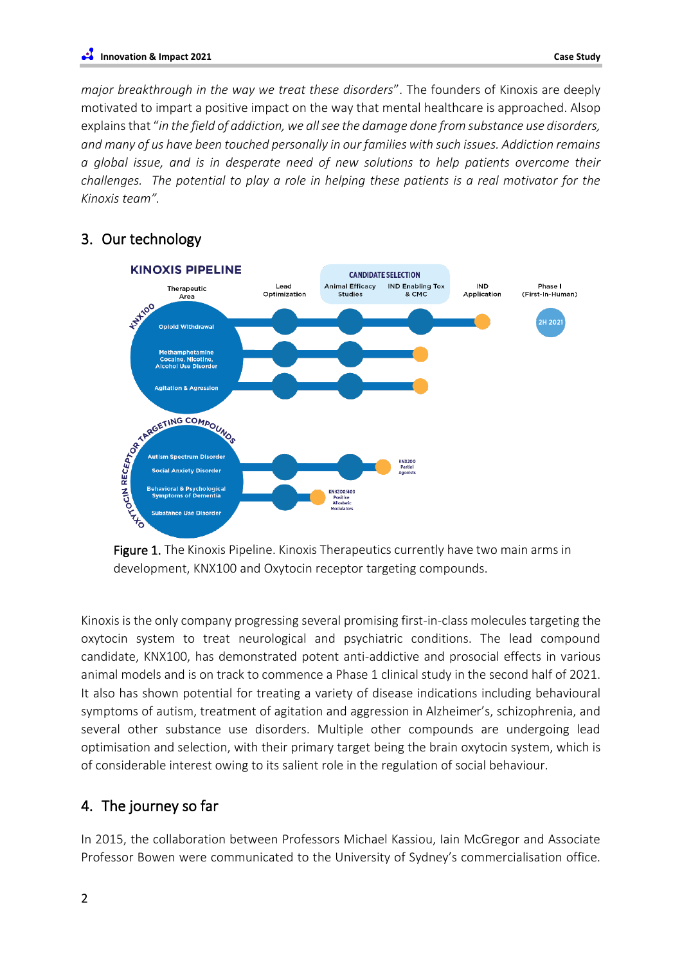*major breakthrough in the way we treat these disorders*". The founders of Kinoxis are deeply motivated to impart a positive impact on the way that mental healthcare is approached. Alsop explains that "*in the field of addiction, we all see the damage done from substance use disorders, and many of us have been touched personally in our families with such issues. Addiction remains a global issue, and is in desperate need of new solutions to help patients overcome their challenges. The potential to play a role in helping these patients is a real motivator for the Kinoxis team".* 

## 3. Our technology



Figure 1. The Kinoxis Pipeline. Kinoxis Therapeutics currently have two main arms in development, KNX100 and Oxytocin receptor targeting compounds.

Kinoxis is the only company progressing several promising first-in-class molecules targeting the oxytocin system to treat neurological and psychiatric conditions. The lead compound candidate, KNX100, has demonstrated potent anti-addictive and prosocial effects in various animal models and is on track to commence a Phase 1 clinical study in the second half of 2021. It also has shown potential for treating a variety of disease indications including behavioural symptoms of autism, treatment of agitation and aggression in Alzheimer's, schizophrenia, and several other substance use disorders. Multiple other compounds are undergoing lead optimisation and selection, with their primary target being the brain oxytocin system, which is of considerable interest owing to its salient role in the regulation of social behaviour.

## 4. The journey so far

In 2015, the collaboration between Professors Michael Kassiou, Iain McGregor and Associate Professor Bowen were communicated to the University of Sydney's commercialisation office.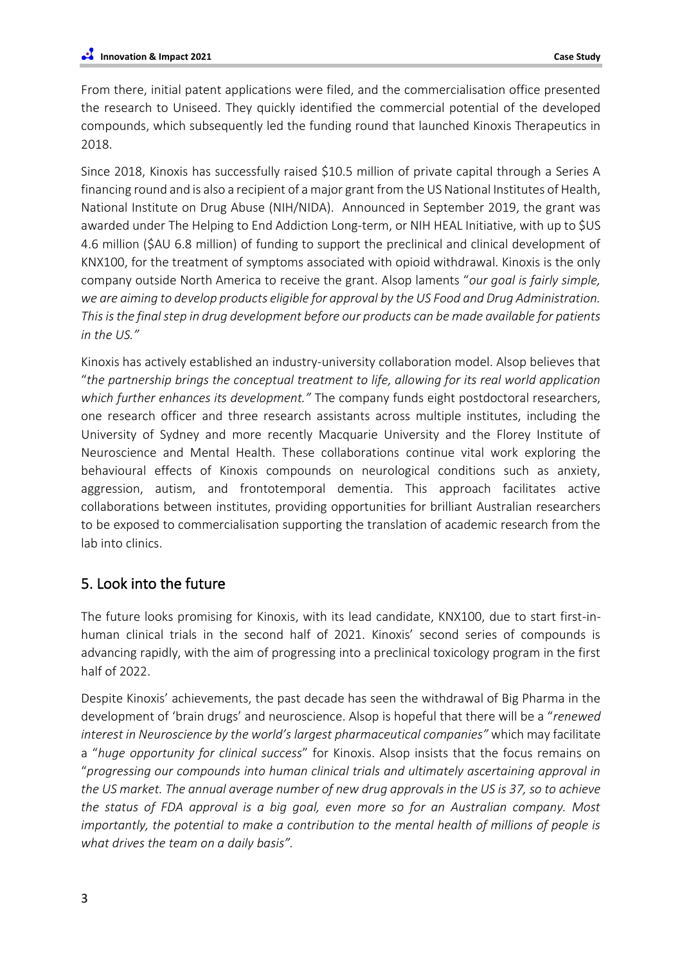From there, initial patent applications were filed, and the commercialisation office presented the research to Uniseed. They quickly identified the commercial potential of the developed compounds, which subsequently led the funding round that launched Kinoxis Therapeutics in 2018.

Since 2018, Kinoxis has successfully raised \$10.5 million of private capital through a Series A financing round and is also a recipient of a major grant from the US National Institutes of Health, National Institute on Drug Abuse (NIH/NIDA). Announced in September 2019, the grant was awarded under The Helping to End Addiction Long-term, or NIH HEAL Initiative, with up to \$US 4.6 million (\$AU 6.8 million) of funding to support the preclinical and clinical development of KNX100, for the treatment of symptoms associated with opioid withdrawal. Kinoxis is the only company outside North America to receive the grant. Alsop laments "*our goal is fairly simple, we are aiming to develop products eligible for approval by the US Food and Drug Administration. This is the final step in drug development before our products can be made available for patients in the US."*

Kinoxis has actively established an industry-university collaboration model. Alsop believes that "*the partnership brings the conceptual treatment to life, allowing for its real world application which further enhances its development."* The company funds eight postdoctoral researchers, one research officer and three research assistants across multiple institutes, including the University of Sydney and more recently Macquarie University and the Florey Institute of Neuroscience and Mental Health. These collaborations continue vital work exploring the behavioural effects of Kinoxis compounds on neurological conditions such as anxiety, aggression, autism, and frontotemporal dementia. This approach facilitates active collaborations between institutes, providing opportunities for brilliant Australian researchers to be exposed to commercialisation supporting the translation of academic research from the lab into clinics.

# 5. Look into the future

The future looks promising for Kinoxis, with its lead candidate, KNX100, due to start first-inhuman clinical trials in the second half of 2021. Kinoxis' second series of compounds is advancing rapidly, with the aim of progressing into a preclinical toxicology program in the first half of 2022.

Despite Kinoxis' achievements, the past decade has seen the withdrawal of Big Pharma in the development of 'brain drugs' and neuroscience. Alsop is hopeful that there will be a "*renewed interest in Neuroscience by the world's largest pharmaceutical companies"* which may facilitate a "*huge opportunity for clinical success*" for Kinoxis. Alsop insists that the focus remains on "*progressing our compounds into human clinical trials and ultimately ascertaining approval in the US market. The annual average number of new drug approvals in the US is 37, so to achieve the status of FDA approval is a big goal, even more so for an Australian company. Most importantly, the potential to make a contribution to the mental health of millions of people is what drives the team on a daily basis".*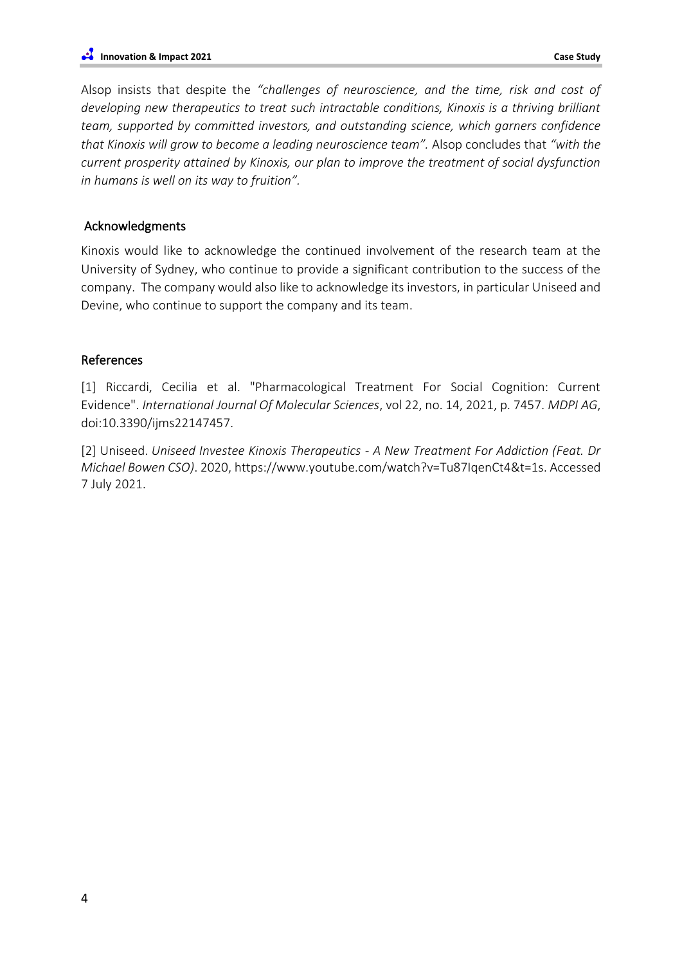Alsop insists that despite the *"challenges of neuroscience, and the time, risk and cost of developing new therapeutics to treat such intractable conditions, Kinoxis is a thriving brilliant team, supported by committed investors, and outstanding science, which garners confidence that Kinoxis will grow to become a leading neuroscience team".* Alsop concludes that *"with the current prosperity attained by Kinoxis, our plan to improve the treatment of social dysfunction in humans is well on its way to fruition".* 

#### Acknowledgments

Kinoxis would like to acknowledge the continued involvement of the research team at the University of Sydney, who continue to provide a significant contribution to the success of the company. The company would also like to acknowledge its investors, in particular Uniseed and Devine, who continue to support the company and its team.

#### References

[1] Riccardi, Cecilia et al. "Pharmacological Treatment For Social Cognition: Current Evidence". *International Journal Of Molecular Sciences*, vol 22, no. 14, 2021, p. 7457. *MDPI AG*, doi:10.3390/ijms22147457.

[2] Uniseed. *Uniseed Investee Kinoxis Therapeutics - A New Treatment For Addiction (Feat. Dr Michael Bowen CSO)*. 2020, https://www.youtube.com/watch?v=Tu87IqenCt4&t=1s. Accessed 7 July 2021.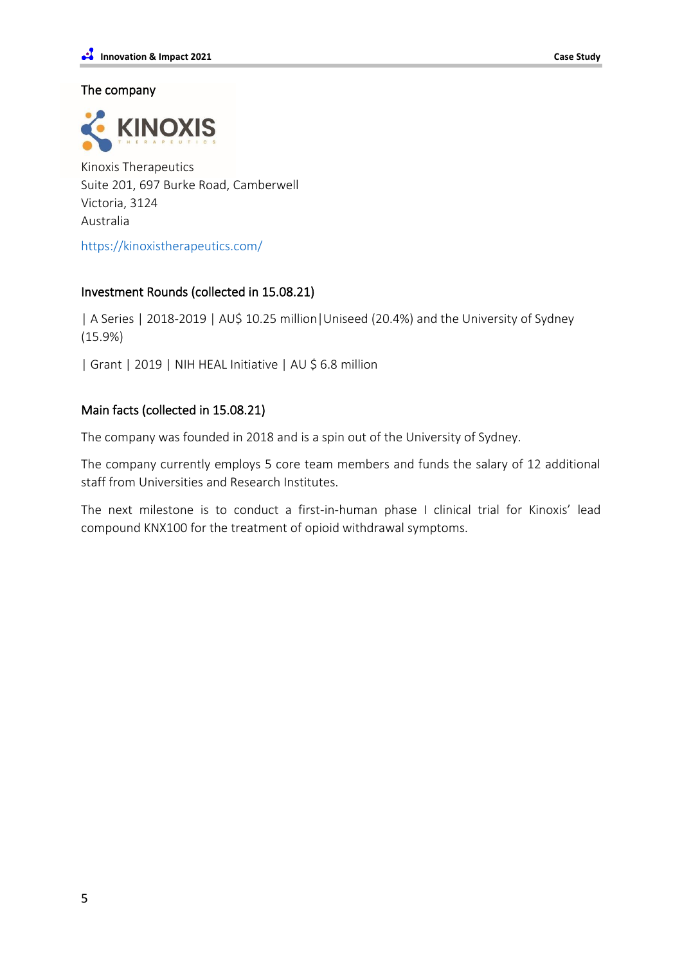#### The company



Kinoxis Therapeutics Suite 201, 697 Burke Road, Camberwell Victoria, 3124 Australia

<https://kinoxistherapeutics.com/>

## Investment Rounds (collected in 15.08.21)

| A Series | 2018-2019 | AU\$ 10.25 million|Uniseed (20.4%) and the University of Sydney (15.9%)

| Grant | 2019 | NIH HEAL Initiative | AU \$ 6.8 million

## Main facts (collected in 15.08.21)

The company was founded in 2018 and is a spin out of the University of Sydney.

The company currently employs 5 core team members and funds the salary of 12 additional staff from Universities and Research Institutes.

The next milestone is to conduct a first-in-human phase I clinical trial for Kinoxis' lead compound KNX100 for the treatment of opioid withdrawal symptoms.